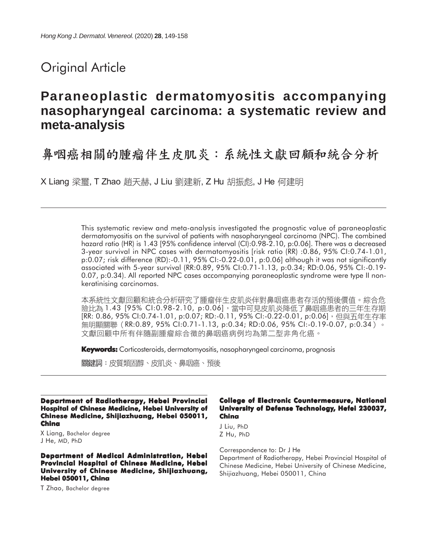# Original Article

# **Paraneoplastic dermatomyositis accompanying nasopharyngeal carcinoma: a systematic review and meta-analysis**

鼻咽癌相關的腫瘤伴生皮肌炎:系統性文獻回顧和統合分析

X Liang 梁璽, T Zhao 趙天赫, J Liu 劉建新, Z Hu 胡振彪, J He 何建明

This systematic review and meta-analysis investigated the prognostic value of paraneoplastic dermatomyositis on the survival of patients with nasopharyngeal carcinoma (NPC). The combined hazard ratio (HR) is 1.43 [95% confidence interval (CI):0.98-2.10, p:0.06]. There was a decreased 3-year survival in NPC cases with dermatomyositis [risk ratio (RR) :0.86, 95% CI:0.74-1.01, p:0.07; risk difference (RD):-0.11, 95% CI:-0.22-0.01, p:0.06] although it was not significantly associated with 5-year survival (RR:0.89, 95% CI:0.71-1.13, p:0.34; RD:0.06, 95% CI:-0.19- 0.07, p:0.34). All reported NPC cases accompanying paraneoplastic syndrome were type II nonkeratinising carcinomas.

本系統性文獻回顧和統合分析研究了腫瘤伴生皮肌炎伴對鼻咽癌患者存活的預後價值。綜合危 險比為 1.43 [95% CI:0.98-2.10, p:0.06],當中可見皮肌炎降低了鼻咽癌患者的三年生存期 [RR: 0.86, 95% CI:0.74-1.01, p:0.07; RD:-0.11, 95% CI:-0.22-0.01, p:0.06],但與五年生存率 無明顯關聯 (RR:0.89, 95% CI:0.71-1.13, p:0.34; RD:0.06, 95% CI:-0.19-0.07, p:0.34 )。 文獻回顧中所有伴隨副腫瘤綜合徵的鼻咽癌病例均為第二型非角化癌。

**Keywords:** Corticosteroids, dermatomyositis, nasopharyngeal carcinoma, prognosis

關鍵詞:皮質類固醇、皮肌炎、鼻咽癌、預後

**Department of Radiotherapy, Hebei Provincial Hospital of Chinese Medicine, Hebei University of Chinese Medicine, Shijiazhuang, Hebei 050011, China**

X Liang, Bachelor degree J He, MD, PhD

#### **Department of Medical Administration, Hebei Provincial Hospital of Chinese Medicine, Hebei University of Chinese Medicine, Shijiazhuang, Hebei 050011, China**

T Zhao, Bachelor degree

#### **College of Electronic Countermeasure, National University of Defense Technology, Hefei 230037, China**

J Liu, PhD Z Hu, PhD

Correspondence to: Dr J He

Department of Radiotherapy, Hebei Provincial Hospital of Chinese Medicine, Hebei University of Chinese Medicine, Shijiazhuang, Hebei 050011, China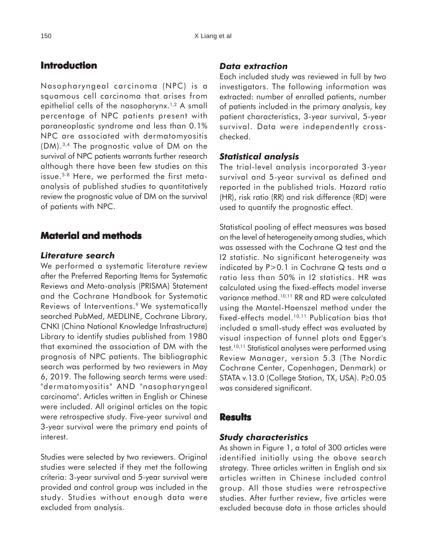## **Introduction**

Nasopharyngeal carcinoma (NPC) is a squamous cell carcinoma that arises from epithelial cells of the nasopharynx.<sup>1,2</sup> A small percentage of NPC patients present with paraneoplastic syndrome and less than 0.1% NPC are associated with dermatomyositis (DM).3,4 The prognostic value of DM on the survival of NPC patients warrants further research although there have been few studies on this issue.5-8 Here, we performed the first metaanalysis of published studies to quantitatively review the prognostic value of DM on the survival of patients with NPC.

# **Material and methods**

#### *Literature search*

We performed a systematic literature review after the Preferred Reporting Items for Systematic Reviews and Meta-analysis (PRISMA) Statement and the Cochrane Handbook for Systematic Reviews of Interventions.<sup>9</sup> We systematically searched PubMed, MEDLINE, Cochrane Library, CNKI (China National Knowledge Infrastructure) Library to identify studies published from 1980 that examined the association of DM with the prognosis of NPC patients. The bibliographic search was performed by two reviewers in May 6, 2019. The following search terms were used: "dermatomyositis" AND "nasopharyngeal carcinoma". Articles written in English or Chinese were included. All original articles on the topic were retrospective study. Five-year survival and 3-year survival were the primary end points of interest.

Studies were selected by two reviewers. Original studies were selected if they met the following criteria: 3-year survival and 5-year survival were provided and control group was included in the study. Studies without enough data were excluded from analysis.

#### *Data extraction*

Each included study was reviewed in full by two investigators. The following information was extracted: number of enrolled patients, number of patients included in the primary analysis, key patient characteristics, 3-year survival, 5-year survival. Data were independently crosschecked.

#### *Statistical analysis*

The trial-level analysis incorporated 3-year survival and 5-year survival as defined and reported in the published trials. Hazard ratio (HR), risk ratio (RR) and risk difference (RD) were used to quantify the prognostic effect.

Statistical pooling of effect measures was based on the level of heterogeneity among studies, which was assessed with the Cochrane Q test and the I2 statistic. No significant heterogeneity was indicated by P>0.1 in Cochrane Q tests and a ratio less than 50% in I2 statistics. HR was calculated using the fixed-effects model inverse variance method.10,11 RR and RD were calculated using the Mantel-Haenszel method under the fixed-effects model.10,11 Publication bias that included a small-study effect was evaluated by visual inspection of funnel plots and Egger's test.10,11 Statistical analyses were performed using Review Manager, version 5.3 (The Nordic Cochrane Center, Copenhagen, Denmark) or STATA v.13.0 (College Station, TX, USA). P≥0.05 was considered significant.

#### **Results**

#### *Study characteristics*

As shown in Figure 1, a total of 300 articles were identified initially using the above search strategy. Three articles written in English and six articles written in Chinese included control group. All those studies were retrospective studies. After further review, five articles were excluded because data in those articles should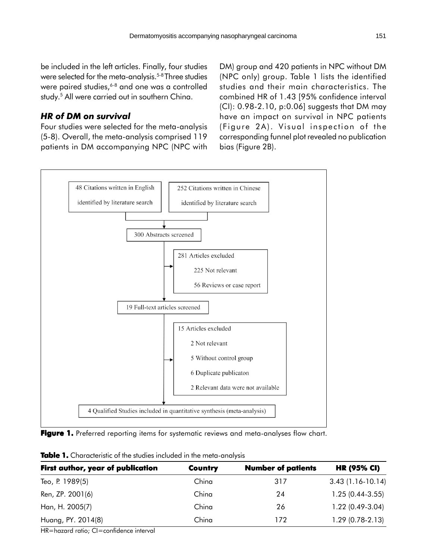be included in the left articles. Finally, four studies were selected for the meta-analysis.<sup>5-8</sup> Three studies were paired studies,<sup>6-8</sup> and one was a controlled study.<sup>5</sup> All were carried out in southern China.

## *HR of DM on survival*

Four studies were selected for the meta-analysis (5-8). Overall, the meta-analysis comprised 119 patients in DM accompanying NPC (NPC with DM) group and 420 patients in NPC without DM (NPC only) group. Table 1 lists the identified studies and their main characteristics. The combined HR of 1.43 [95% confidence interval (CI): 0.98-2.10, p:0.06] suggests that DM may have an impact on survival in NPC patients (Figure 2A). Visual inspection of the corresponding funnel plot revealed no publication bias (Figure 2B).



Figure 1. Preferred reporting items for systematic reviews and meta-analyses flow chart.

| First author, year of publication | <b>Country</b> | <b>Number of patients</b> | <b>HR (95% CI)</b> |
|-----------------------------------|----------------|---------------------------|--------------------|
| Teo, P. 1989(5)                   | China          | 317                       | $3.43(1.16-10.14)$ |
| Ren, ZP. 2001(6)                  | China          | 24                        | $1.25(0.44-3.55)$  |
| Han, H. 2005(7)                   | China          | 26                        | $1.22(0.49-3.04)$  |
| Huang, PY. 2014(8)                | China          | 172                       | $1.29(0.78-2.13)$  |

**Table 1.** Characteristic of the studies included in the meta-analysis

HR=hazard ratio; CI=confidence interval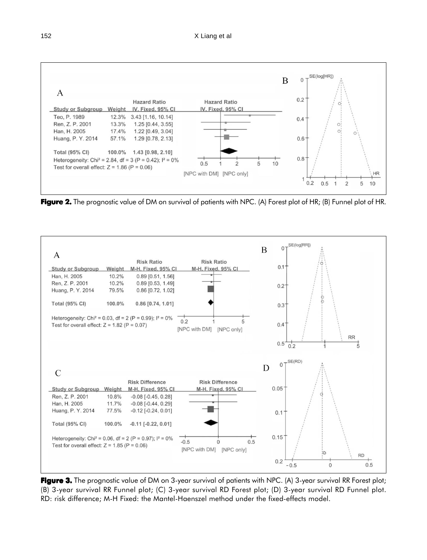

**Figure 2.** The prognostic value of DM on survival of patients with NPC. (A) Forest plot of HR; (B) Funnel plot of HR.



**Figure 3.** The prognostic value of DM on 3-year survival of patients with NPC. (A) 3-year survival RR Forest plot; (B) 3-year survival RR Funnel plot; (C) 3-year survival RD Forest plot; (D) 3-year survival RD Funnel plot. RD: risk difference; M-H Fixed: the Mantel-Haenszel method under the fixed-effects model.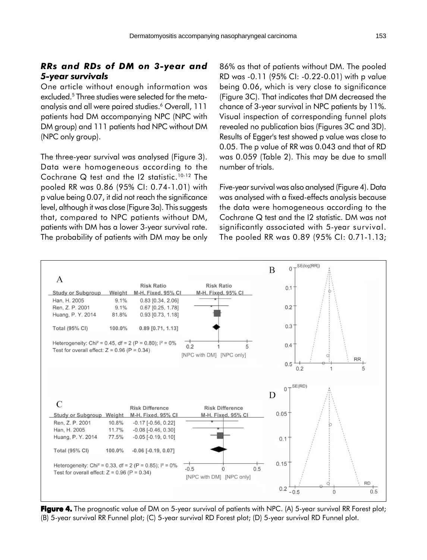### *RRs and RDs of DM on 3-year and 5-year survivals*

One article without enough information was excluded.5 Three studies were selected for the metaanalysis and all were paired studies.6 Overall, 111 patients had DM accompanying NPC (NPC with DM group) and 111 patients had NPC without DM (NPC only group).

The three-year survival was analysed (Figure 3). Data were homogeneous according to the Cochrane Q test and the I2 statistic.<sup>10-12</sup> The pooled RR was 0.86 (95% CI: 0.74-1.01) with p value being 0.07, it did not reach the significance level, although it was close (Figure 3a). This suggests that, compared to NPC patients without DM, patients with DM has a lower 3-year survival rate. The probability of patients with DM may be only 86% as that of patients without DM. The pooled RD was -0.11 (95% CI: -0.22-0.01) with p value being 0.06, which is very close to significance (Figure 3C). That indicates that DM decreased the chance of 3-year survival in NPC patients by 11%. Visual inspection of corresponding funnel plots revealed no publication bias (Figures 3C and 3D). Results of Egger's test showed p value was close to 0.05. The p value of RR was 0.043 and that of RD was 0.059 (Table 2). This may be due to small number of trials.

Five-year survival was also analysed (Figure 4). Data was analysed with a fixed-effects analysis because the data were homogeneous according to the Cochrane Q test and the I2 statistic. DM was not significantly associated with 5-year survival. The pooled RR was 0.89 (95% CI: 0.71-1.13;



**Figure 4.** The prognostic value of DM on 5-year survival of patients with NPC. (A) 5-year survival RR Forest plot; (B) 5-year survival RR Funnel plot; (C) 5-year survival RD Forest plot; (D) 5-year survival RD Funnel plot.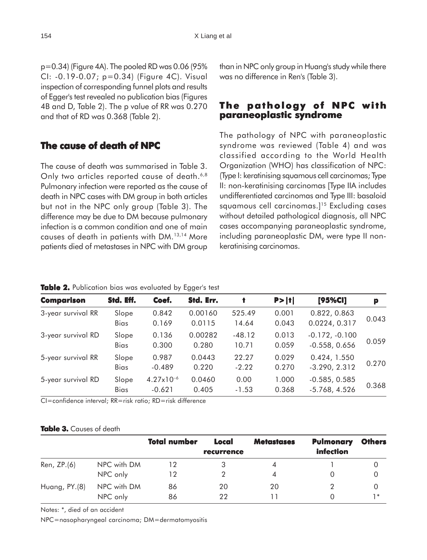p=0.34) (Figure 4A). The pooled RD was 0.06 (95% CI: -0.19-0.07; p=0.34) (Figure 4C). Visual inspection of corresponding funnel plots and results of Egger's test revealed no publication bias (Figures 4B and D, Table 2). The p value of RR was 0.270 and that of RD was 0.368 (Table 2).

# **The cause of death of NPC**

The cause of death was summarised in Table 3. Only two articles reported cause of death.<sup>6,8</sup> Pulmonary infection were reported as the cause of death in NPC cases with DM group in both articles but not in the NPC only group (Table 3). The difference may be due to DM because pulmonary infection is a common condition and one of main causes of death in patients with DM.13,14 More patients died of metastases in NPC with DM group than in NPC only group in Huang's study while there was no difference in Ren's (Table 3).

# **The pathology of NPC with paraneoplastic syndrome**

The pathology of NPC with paraneoplastic syndrome was reviewed (Table 4) and was classified according to the World Health Organization (WHO) has classification of NPC: (Type I: keratinising squamous cell carcinomas; Type II: non-keratinising carcinomas [Type IIA includes undifferentiated carcinomas and Type III: basaloid squamous cell carcinomas.<sup>15</sup> Excluding cases without detailed pathological diagnosis, all NPC cases accompanying paraneoplastic syndrome, including paraneoplastic DM, were type II nonkeratinising carcinomas.

| <b>Comparison</b>  | Std. Eff.            | Coef.                             | Std. Err.         | t                 | P >  t         | [95%CI]                             | p     |
|--------------------|----------------------|-----------------------------------|-------------------|-------------------|----------------|-------------------------------------|-------|
| 3-year survival RR | Slope<br>Bias        | 0.842<br>0.169                    | 0.00160<br>0.0115 | 525.49<br>14.64   | 0.001<br>0.043 | 0.822, 0.863<br>0.0224, 0.317       | 0.043 |
| 3-year survival RD | Slope<br><b>Bias</b> | 0.136<br>0.300                    | 0.00282<br>0.280  | $-48.12$<br>10.71 | 0.013<br>0.059 | $-0.172, -0.100$<br>$-0.558, 0.656$ | 0.059 |
| 5-year survival RR | Slope<br>Bias        | 0.987<br>$-0.489$                 | 0.0443<br>0.220   | 22.27<br>$-2.22$  | 0.029<br>0.270 | 0.424, 1.550<br>$-3.290, 2.312$     | 0.270 |
| 5-year survival RD | Slope<br>Bias        | $4.27 \times 10^{-6}$<br>$-0.621$ | 0.0460<br>0.405   | 0.00<br>$-1.53$   | 1.000<br>0.368 | $-0.585, 0.585$<br>$-5.768, 4.526$  | 0.368 |

**Table 2.** Publication bias was evaluated by Egger's test

CI=confidence interval; RR=risk ratio; RD=risk difference

#### **Table 3.** Causes of death

|               |             | <b>Total number</b> | Local<br>recurrence | <b>Metastases</b> | <b>Pulmonary</b><br><i>infection</i> | <b>Others</b> |
|---------------|-------------|---------------------|---------------------|-------------------|--------------------------------------|---------------|
| Ren, ZP.(6)   | NPC with DM |                     |                     | 4                 |                                      |               |
|               | NPC only    | 12                  |                     |                   |                                      |               |
| Huang, PY.(8) | NPC with DM | 86                  | 20                  | 20                |                                      |               |
|               | NPC only    | 86                  | 22                  |                   |                                      | 1 *           |

Notes: \*, died of an accident

NPC=nasopharyngeal carcinoma; DM=dermatomyositis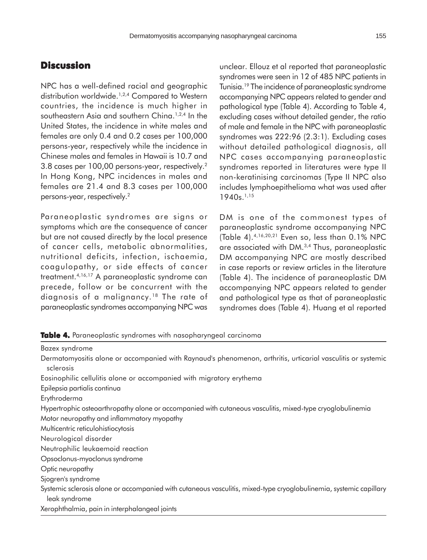# **Discussion**

NPC has a well-defined racial and geographic distribution worldwide.<sup>1,2,4</sup> Compared to Western countries, the incidence is much higher in southeastern Asia and southern China.<sup>1,2,4</sup> In the United States, the incidence in white males and females are only 0.4 and 0.2 cases per 100,000 persons-year, respectively while the incidence in Chinese males and females in Hawaii is 10.7 and 3.8 cases per 100,00 persons-year, respectively.2 In Hong Kong, NPC incidences in males and females are 21.4 and 8.3 cases per 100,000 persons-year, respectively.2

Paraneoplastic syndromes are signs or symptoms which are the consequence of cancer but are not caused directly by the local presence of cancer cells, metabolic abnormalities, nutritional deficits, infection, ischaemia, coagulopathy, or side effects of cancer treatment.4,16,17 A paraneoplastic syndrome can precede, follow or be concurrent with the diagnosis of a malignancy.<sup>18</sup> The rate of paraneoplastic syndromes accompanying NPC was unclear. Ellouz et al reported that paraneoplastic syndromes were seen in 12 of 485 NPC patients in Tunisia.19 The incidence of paraneoplastic syndrome accompanying NPC appears related to gender and pathological type (Table 4). According to Table 4, excluding cases without detailed gender, the ratio of male and female in the NPC with paraneoplastic syndromes was 222:96 (2.3:1). Excluding cases without detailed pathological diagnosis, all NPC cases accompanying paraneoplastic syndromes reported in literatures were type II non-keratinising carcinomas (Type II NPC also includes lymphoepithelioma what was used after 1940s.<sup>1,15</sup>

DM is one of the commonest types of paraneoplastic syndrome accompanying NPC (Table 4).4,16,20,21 Even so, less than 0.1% NPC are associated with DM.3,4 Thus, paraneoplastic DM accompanying NPC are mostly described in case reports or review articles in the literature (Table 4). The incidence of paraneoplastic DM accompanying NPC appears related to gender and pathological type as that of paraneoplastic syndromes does (Table 4). Huang et al reported

**Table 4.** Paraneoplastic syndromes with nasopharyngeal carcinoma

| <b>Bazex syndrome</b>                                                                                                               |
|-------------------------------------------------------------------------------------------------------------------------------------|
| Dermatomyositis alone or accompanied with Raynaud's phenomenon, arthritis, urticarial vasculitis or systemic                        |
| sclerosis                                                                                                                           |
| Eosinophilic cellulitis alone or accompanied with migratory erythema                                                                |
| Epilepsia partialis continua                                                                                                        |
| Erythroderma                                                                                                                        |
| Hypertrophic osteoarthropathy alone or accompanied with cutaneous vasculitis, mixed-type cryoglobulinemia                           |
| Motor neuropathy and inflammatory myopathy                                                                                          |
| Multicentric reticulohistiocytosis                                                                                                  |
| Neurological disorder                                                                                                               |
| Neutrophilic leukaemoid reaction                                                                                                    |
| Opsoclonus-myoclonus syndrome                                                                                                       |
| Optic neuropathy                                                                                                                    |
| Sjogren's syndrome                                                                                                                  |
| Systemic sclerosis alone or accompanied with cutaneous vasculitis, mixed-type cryoglobulinemia, systemic capillary<br>leak syndrome |
| Xerophthalmia, pain in interphalangeal joints                                                                                       |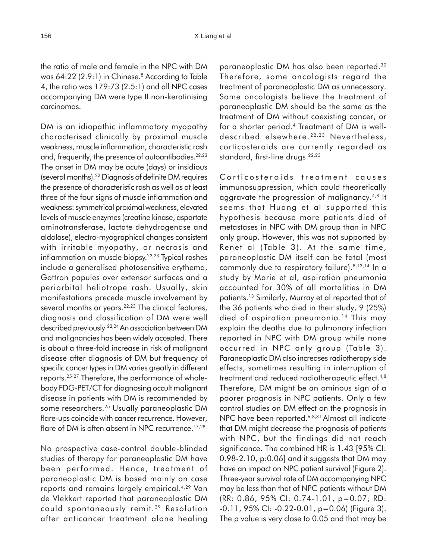the ratio of male and female in the NPC with DM was 64:22 (2.9:1) in Chinese.<sup>8</sup> According to Table 4, the ratio was 179:73 (2.5:1) and all NPC cases accompanying DM were type II non-keratinising carcinomas.

DM is an idiopathic inflammatory myopathy characterised clinically by proximal muscle weakness, muscle inflammation, characteristic rash and, frequently, the presence of autoantibodies.<sup>22,23</sup> The onset in DM may be acute (days) or insidious (several months).22 Diagnosis of definite DM requires the presence of characteristic rash as well as at least three of the four signs of muscle inflammation and weakness: symmetrical proximal weakness, elevated levels of muscle enzymes (creatine kinase, aspartate aminotransferase, lactate dehydrogenase and aldolase), electro-myographical changes consistent with irritable myopathy, or necrosis and inflammation on muscle biopsy.<sup>22,23</sup> Typical rashes include a generalised photosensitive erythema, Gottron papules over extensor surfaces and a periorbital heliotrope rash. Usually, skin manifestations precede muscle involvement by several months or years.<sup>22,23</sup> The clinical features, diagnosis and classification of DM were well described previously.22,24 An association between DM and malignancies has been widely accepted. There is about a three-fold increase in risk of malignant disease after diagnosis of DM but frequency of specific cancer types in DM varies greatly in different reports.25-27 Therefore, the performance of wholebody FDG-PET/CT for diagnosing occult malignant disease in patients with DM is recommended by some researchers.25 Usually paraneoplastic DM flare-ups coincide with cancer recurrence. However, flare of DM is often absent in NPC recurrence.<sup>17,28</sup>

No prospective case-control double-blinded studies of therapy for paraneoplastic DM have been performed. Hence, treatment of paraneoplastic DM is based mainly on case reports and remains largely empirical.4,29 Van de Vlekkert reported that paraneoplastic DM could spontaneously remit. 29 Resolution after anticancer treatment alone healing

paraneoplastic DM has also been reported.30 Therefore, some oncologists regard the treatment of paraneoplastic DM as unnecessary. Some oncologists believe the treatment of paraneoplastic DM should be the same as the treatment of DM without coexisting cancer, or for a shorter period.4 Treatment of DM is welldescribed elsewhere. 22,23 Nevertheless, corticosteroids are currently regarded as standard, first-line drugs.<sup>22,23</sup>

Corticosteroids treatment causes immunosuppression, which could theoretically aggravate the progression of malignancy.4,8 It seems that Huang et al supported this hypothesis because more patients died of metastases in NPC with DM group than in NPC only group. However, this was not supported by Renet al (Table 3). At the same time, paraneoplastic DM itself can be fatal (most commonly due to respiratory failure).<sup>8,13,14</sup> In a study by Marie et al, aspiration pneumonia accounted for 30% of all mortalities in DM patients.13 Similarly, Murray et al reported that of the 36 patients who died in their study, 9 (25%) died of aspiration pneumonia.14 This may explain the deaths due to pulmonary infection reported in NPC with DM group while none occurred in NPC only group (Table 3). Paraneoplastic DM also increases radiotherapy side effects, sometimes resulting in interruption of treatment and reduced radiotherapeutic effect.<sup>4,8</sup> Therefore, DM might be an ominous sign of a poorer prognosis in NPC patients. Only a few control studies on DM effect on the prognosis in NPC have been reported.<sup>6-8,31</sup> Almost all indicate that DM might decrease the prognosis of patients with NPC, but the findings did not reach significance. The combined HR is 1.43 [95% CI: 0.98-2.10, p:0.06] and it suggests that DM may have an impact on NPC patient survival (Figure 2). Three-year survival rate of DM accompanying NPC may be less than that of NPC patients without DM (RR: 0.86, 95% CI: 0.74-1.01, p=0.07; RD: -0.11, 95% CI: -0.22-0.01, p=0.06) (Figure 3). The p value is very close to 0.05 and that may be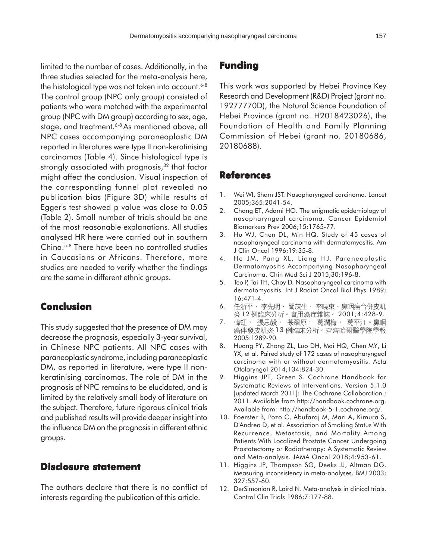limited to the number of cases. Additionally, in the three studies selected for the meta-analysis here, the histological type was not taken into account. $6-8$ The control group (NPC only group) consisted of patients who were matched with the experimental group (NPC with DM group) according to sex, age, stage, and treatment.<sup>6-8</sup> As mentioned above, all NPC cases accompanying paraneoplastic DM reported in literatures were type II non-keratinising carcinomas (Table 4). Since histological type is strongly associated with prognosis,<sup>32</sup> that factor might affect the conclusion. Visual inspection of the corresponding funnel plot revealed no publication bias (Figure 3D) while results of Egger's test showed p value was close to 0.05 (Table 2). Small number of trials should be one of the most reasonable explanations. All studies analysed HR here were carried out in southern China.5-8 There have been no controlled studies in Caucasians or Africans. Therefore, more studies are needed to verify whether the findings are the same in different ethnic groups.

# **Conclusion**

This study suggested that the presence of DM may decrease the prognosis, especially 3-year survival, in Chinese NPC patients. All NPC cases with paraneoplastic syndrome, including paraneoplastic DM, as reported in literature, were type II nonkeratinising carcinomas. The role of DM in the prognosis of NPC remains to be elucidated, and is limited by the relatively small body of literature on the subject. Therefore, future rigorous clinical trials and published results will provide deeper insight into the influence DM on the prognosis in different ethnic groups.

### **Disclosure statement Disclosure statement**

The authors declare that there is no conflict of interests regarding the publication of this article.

# **Funding**

This work was supported by Hebei Province Key Research and Development (R&D) Project (grant no. 19277770D), the Natural Science Foundation of Hebei Province (grant no. H2018423026), the Foundation of Health and Family Planning Commission of Hebei (grant no. 20180686, 20180688).

#### **References**

- 1. Wei WI, Sham JST. Nasopharyngeal carcinoma. Lancet 2005;365:2041-54.
- 2. Chang ET, Adami HO. The enigmatic epidemiology of nasopharyngeal carcinoma. Cancer Epidemiol Biomarkers Prev 2006;15:1765-77.
- 3. Hu WJ, Chen DL, Min HQ. Study of 45 cases of nasopharyngeal carcinoma with dermatomyositis. Am J Clin Oncol 1996;19:35-8.
- 4. He JM, Pang XL, Liang HJ. Paraneoplastic Dermatomyositis Accompanying Nasopharyngeal Carcinoma. Chin Med Sci J 2015;30:196-8.
- 5. Teo P, Tai TH, Choy D. Nasopharyngeal carcinoma with dermatomyositis. Int J Radiat Oncol Biol Phys 1989; 16:471-4.
- 6. 任浙平,李先明,閆茂生,李曉東。鼻咽癌合併皮肌 炎 12 例臨床分析。實用癌症雜誌。 2001;4:428-9.
- 韓虹, 張思毅, 蒙翠原, 葛潤梅, 葛平江。鼻咽 7. 癌伴發皮肌炎13例臨床分析。齊齊哈爾醫學院學報 2005:1289-90.
- 8. Huang PY, Zhong ZL, Luo DH, Mai HQ, Chen MY, Li YX, et al. Paired study of 172 cases of nasopharyngeal carcinoma with or without dermatomyositis. Acta Otolaryngol 2014;134:824-30.
- 9. Higgins JPT, Green S. Cochrane Handbook for Systematic Reviews of Interventions. Version 5.1.0 [updated March 2011]: The Cochrane Collaboration.; 2011. Available from http://handbook.cochrane.org. Available from: http://handbook-5-1.cochrane.org/.
- 10. Foerster B, Pozo C, Abufaraj M, Mari A, Kimura S, D'Andrea D, et al. Association of Smoking Status With Recurrence, Metastasis, and Mortality Among Patients With Localized Prostate Cancer Undergoing Prostatectomy or Radiotherapy: A Systematic Review and Meta-analysis. JAMA Oncol 2018;4:953-61.
- 11. Higgins JP, Thompson SG, Deeks JJ, Altman DG. Measuring inconsistency in meta-analyses. BMJ 2003; 327:557-60.
- 12. DerSimonian R, Laird N. Meta-analysis in clinical trials. Control Clin Trials 1986;7:177-88.